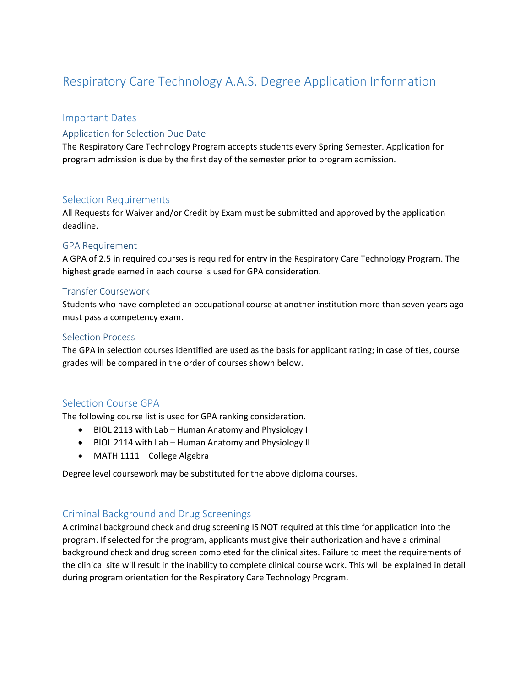# Respiratory Care Technology A.A.S. Degree Application Information

#### Important Dates

### Application for Selection Due Date

The Respiratory Care Technology Program accepts students every Spring Semester. Application for program admission is due by the first day of the semester prior to program admission.

#### Selection Requirements

All Requests for Waiver and/or Credit by Exam must be submitted and approved by the application deadline.

#### GPA Requirement

A GPA of 2.5 in required courses is required for entry in the Respiratory Care Technology Program. The highest grade earned in each course is used for GPA consideration.

#### Transfer Coursework

Students who have completed an occupational course at another institution more than seven years ago must pass a competency exam.

#### Selection Process

The GPA in selection courses identified are used as the basis for applicant rating; in case of ties, course grades will be compared in the order of courses shown below.

#### Selection Course GPA

The following course list is used for GPA ranking consideration.

- BIOL 2113 with Lab Human Anatomy and Physiology I
- BIOL 2114 with Lab Human Anatomy and Physiology II
- MATH 1111 College Algebra

Degree level coursework may be substituted for the above diploma courses.

#### Criminal Background and Drug Screenings

A criminal background check and drug screening IS NOT required at this time for application into the program. If selected for the program, applicants must give their authorization and have a criminal background check and drug screen completed for the clinical sites. Failure to meet the requirements of the clinical site will result in the inability to complete clinical course work. This will be explained in detail during program orientation for the Respiratory Care Technology Program.